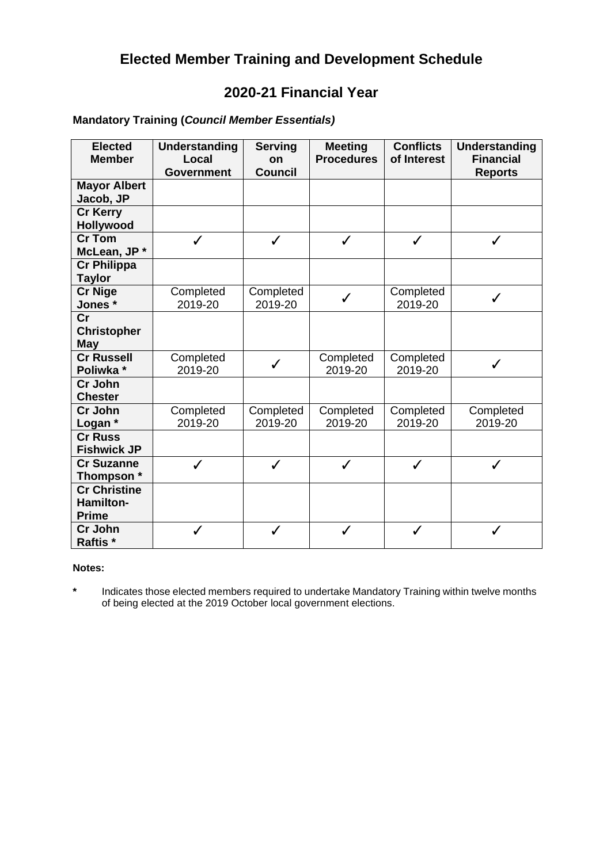# **Elected Member Training and Development Schedule**

# **2020-21 Financial Year**

| <b>Elected</b>      | <b>Understanding</b> | <b>Serving</b> | <b>Meeting</b>    | <b>Conflicts</b> | <b>Understanding</b> |
|---------------------|----------------------|----------------|-------------------|------------------|----------------------|
| <b>Member</b>       | Local                | on             | <b>Procedures</b> | of Interest      | <b>Financial</b>     |
|                     | <b>Government</b>    | <b>Council</b> |                   |                  | <b>Reports</b>       |
| <b>Mayor Albert</b> |                      |                |                   |                  |                      |
| Jacob, JP           |                      |                |                   |                  |                      |
| <b>Cr Kerry</b>     |                      |                |                   |                  |                      |
| Hollywood           |                      |                |                   |                  |                      |
| <b>Cr Tom</b>       |                      | ✓              | ✓                 |                  | ✓                    |
| McLean, JP*         |                      |                |                   |                  |                      |
| <b>Cr Philippa</b>  |                      |                |                   |                  |                      |
| <b>Taylor</b>       |                      |                |                   |                  |                      |
| <b>Cr Nige</b>      | Completed            | Completed      | $\checkmark$      | Completed        | $\checkmark$         |
| Jones*              | 2019-20              | 2019-20        |                   | 2019-20          |                      |
| $\mathsf{Cr}$       |                      |                |                   |                  |                      |
| <b>Christopher</b>  |                      |                |                   |                  |                      |
| <b>May</b>          |                      |                |                   |                  |                      |
| <b>Cr Russell</b>   | Completed            |                | Completed         | Completed        |                      |
| Poliwka *           | 2019-20              | $\checkmark$   | 2019-20           | 2019-20          | ✓                    |
| Cr John             |                      |                |                   |                  |                      |
| <b>Chester</b>      |                      |                |                   |                  |                      |
| Cr John             | Completed            | Completed      | Completed         | Completed        | Completed            |
| Logan *             | 2019-20              | 2019-20        | 2019-20           | 2019-20          | 2019-20              |
| <b>Cr Russ</b>      |                      |                |                   |                  |                      |
| <b>Fishwick JP</b>  |                      |                |                   |                  |                      |
| <b>Cr Suzanne</b>   | $\checkmark$         | $\checkmark$   | $\checkmark$      | ✓                | $\checkmark$         |
| Thompson *          |                      |                |                   |                  |                      |
| <b>Cr Christine</b> |                      |                |                   |                  |                      |
| Hamilton-           |                      |                |                   |                  |                      |
| <b>Prime</b>        |                      |                |                   |                  |                      |
| Cr John             | ✓                    | ✓              | J                 |                  | ✓                    |
| Raftis*             |                      |                |                   |                  |                      |

## **Mandatory Training (***Council Member Essentials)*

#### **Notes:**

**\*** Indicates those elected members required to undertake Mandatory Training within twelve months of being elected at the 2019 October local government elections.